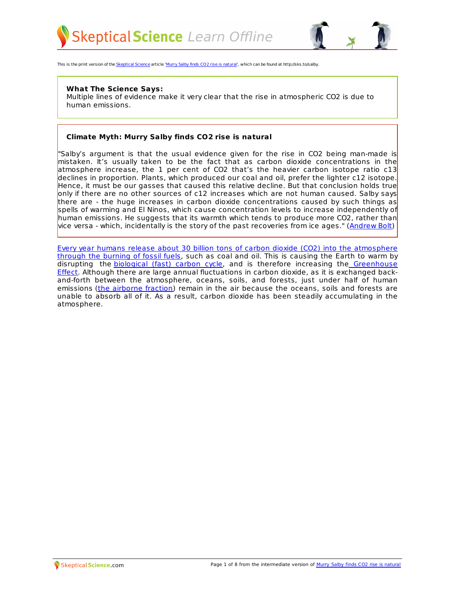



This is the print version of the [Skeptical](http://skepticalscience.com) Science article 'Murry Salby finds CO2 rise is [natural](http://skepticalscience.com/Murry-Salby-CO2-rise-natural.htm)', which can be found at http://sks.to/salby.

#### **What The Science Says:**

Multiple lines of evidence make it very clear that the rise in atmospheric CO2 is due to human emissions.

### **Climate Myth: Murry Salby finds CO2 rise is natural**

"Salby's argument is that the usual evidence given for the rise in CO2 being man-made is mistaken. It's usually taken to be the fact that as carbon dioxide concentrations in the atmosphere increase, the 1 per cent of CO2 that's the heavier carbon isotope ratio c13 declines in proportion. Plants, which produced our coal and oil, prefer the lighter c12 isotope. Hence, it must be our gasses that caused this relative decline. But that conclusion holds true only if there are no other sources of c12 increases which are not human caused. Salby says there are - the huge increases in carbon dioxide concentrations caused by such things as spells of warming and El Ninos, which cause concentration levels to increase independently of human emissions. He suggests that its warmth which tends to produce more CO2, rather than vice versa - which, incidentally is the story of the past recoveries from ice ages." [\(Andrew](http://blogs.news.com.au/heraldsun/andrewbolt/index.php/heraldsun/comments/new_research_warmth_produces_these_carbon_dioxide_concentrations) Bolt)

Every year humans release about 30 billion tons of carbon dioxide (CO2) into the [atmosphere](http://www.skepticalscience.com/iea-co2-emissions-update-2010.html) through the burning of fossil fuels, such as coal and oil. This is causing the Earth to warm by disrupting the [biological](http://earthobservatory.nasa.gov/Features/CarbonCycle/) (fast) carbon cycle, and is therefore increasing the [Greenhouse](http://www.niwa.co.nz/our-science/climate/information-and-resources/clivar/greenhouse) Effect. Although there are large annual fluctuations in carbon dioxide, as it is exchanged backand-forth between the atmosphere, oceans, soils, and forests, just under half of human emissions (the [airborne](http://www.skepticalscience.com/news.php?n=112) fraction) remain in the air because the oceans, soils and forests are unable to absorb all of it. As a result, carbon dioxide has been steadily accumulating in the atmosphere.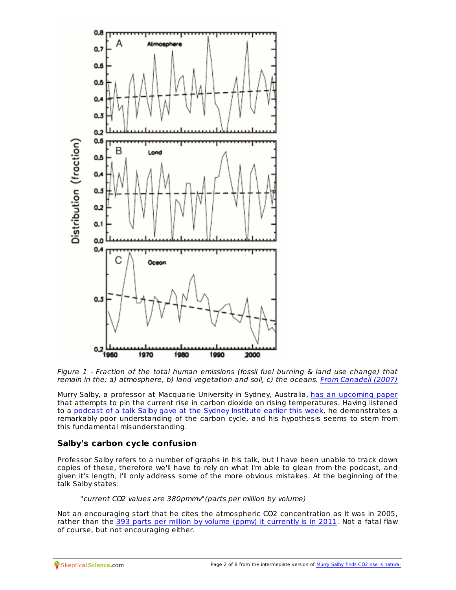

Figure 1 - Fraction of the total human emissions (fossil fuel burning & land use change) that remain in the: a) atmosphere, b) land vegetation and soil, c) the oceans. From [Canadell](http://www.pnas.org/content/104/47/18866.full.pdf) (2007)

Murry Salby, a professor at Macquarie University in Sydney, Australia, has an [upcoming](http://judithcurry.com/2011/08/04/carbon-cycle-questions/) paper that attempts to pin the current rise in carbon dioxide on rising temperatures. Having listened to a podcast of a talk Salby gave at the Sydney [Institute](http://www.thesydneyinstitute.com.au/podcast/global-emission-of-carbon-dioxide-the-contribution-from-natural-sources/) earlier this week, he demonstrates a remarkably poor understanding of the carbon cycle, and his hypothesis seems to stem from this fundamental misunderstanding.

## **Salby's carbon cycle confusion**

Professor Salby refers to a number of graphs in his talk, but I have been unable to track down copies of these, therefore we'll have to rely on what I'm able to glean from the podcast, and given it's length, I'll only address some of the more obvious mistakes. At the beginning of the talk Salby states:

"current CO2 values are 380pmmv"(parts per million by volume)

Not an encouraging start that he cites the atmospheric CO2 concentration as it was in 2005, rather than the 393 parts per million by volume (ppmv) it [currently](http://co2now.org/) is in 2011. Not a fatal flaw of course, but not encouraging either.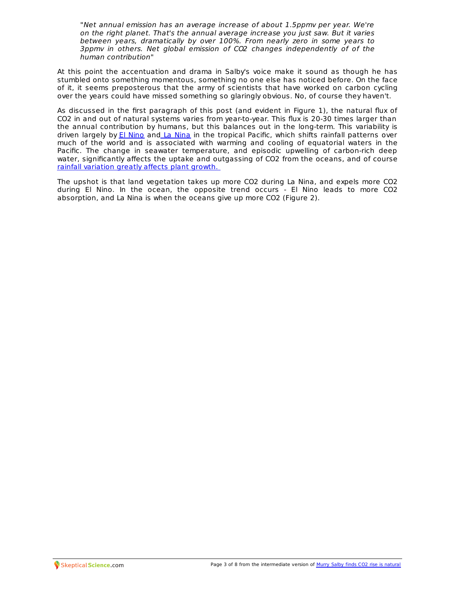"Net annual emission has an average increase of about 1.5ppmv per year. We're on the right planet. That's the annual average increase you just saw. But it varies between years, dramatically by over 100%. From nearly zero in some years to 3ppmv in others. Net global emission of CO2 changes independently of of the human contribution"

At this point the accentuation and drama in Salby's voice make it sound as though he has stumbled onto something momentous, something no one else has noticed before. On the face of it, it seems preposterous that the army of scientists that have worked on carbon cycling over the years could have missed something so glaringly obvious. No, of course they haven't.

As discussed in the first paragraph of this post (and evident in Figure 1), the natural flux of CO2 in and out of natural systems varies from year-to-year. This flux is 20-30 times larger than the annual contribution by humans, but this balances out in the long-term. This variability is driven largely by El [Nino](http://www.pmel.noaa.gov/tao/elnino/el-nino-story.html) and La [Nina](http://www.pmel.noaa.gov/tao/elnino/la-nina-story.html) in the tropical Pacific, which shifts rainfall patterns over much of the world and is associated with warming and cooling of equatorial waters in the Pacific. The change in seawater temperature, and episodic upwelling of carbon-rich deep water, significantly affects the uptake and outgassing of CO2 from the oceans, and of course rainfall [variation](http://rockbox.rutgers.edu/~jdwright/GlobalChange/Zeng05_CO2intera.pdf) greatly affects plant growth.

The upshot is that land vegetation takes up more CO2 during La Nina, and expels more CO2 during El Nino. In the ocean, the opposite trend occurs - El Nino leads to more CO2 absorption, and La Nina is when the oceans give up more CO2 (Figure 2).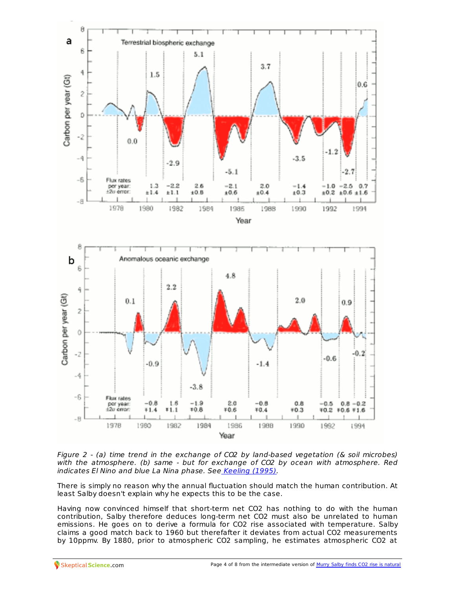

Figure 2 - (a) time trend in the exchange of CO2 by land-based vegetation (& soil microbes) with the atmosphere. (b) same - but for exchange of CO2 by ocean with atmosphere. Red indicates El Nino and blue La Nina phase. See [Keeling](http://hydrology.lsu.edu/courses/papers/Keeling_etal_Nature1995.pdf) (1995).

There is simply no reason why the annual fluctuation should match the human contribution. At least Salby doesn't explain why he expects this to be the case.

Having now convinced himself that short-term net CO2 has nothing to do with the human contribution, Salby therefore deduces long-term net CO2 must also be unrelated to human emissions. He goes on to derive a formula for CO2 rise associated with temperature. Salby claims a good match back to 1960 but therefafter it deviates from actual CO2 measurements by [10ppmv.](http://skepticalscience.com) By 1880, prior to atmospheric CO2 sampling, he estimates [atmospheric](http://skepticalscience.com/Murry-Salby-CO2-rise-natural.htm) CO2 at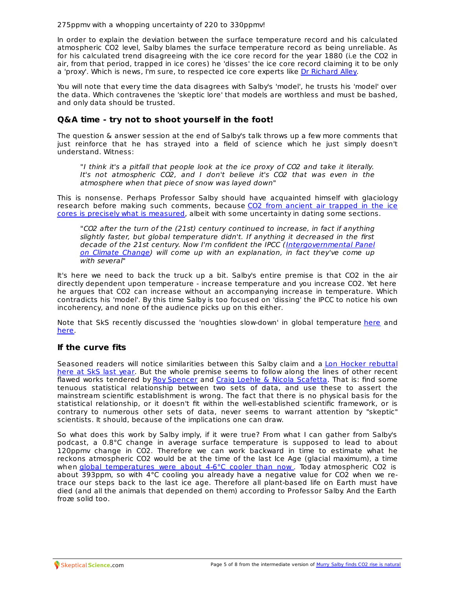275ppmv with a whopping uncertainty of 220 to 330ppmv!

In order to explain the deviation between the surface temperature record and his calculated atmospheric CO2 level, Salby blames the surface temperature record as being unreliable. As for his calculated trend disagreeing with the ice core record for the year 1880 (i.e the CO2 in air, from that period, trapped in ice cores) he 'disses' the ice core record claiming it to be only a 'proxy'. Which is news, I'm sure, to respected ice core experts like Dr [Richard](http://www.youtube.com/watch?v=c90nab5i-TQ) Alley.

You will note that every time the data disagrees with Salby's 'model', he trusts his 'model' over the data. Which contravenes the 'skeptic lore' that models are worthless and must be bashed, and only data should be trusted.

## **Q&A time - try not to shoot yourself in the foot!**

The question & answer session at the end of Salby's talk throws up a few more comments that just reinforce that he has strayed into a field of science which he just simply doesn't understand. Witness:

"I think it's a pitfall that people look at the ice proxy of CO2 and take it literally. It's not atmospheric CO2, and I don't believe it's CO2 that was even in the atmosphere when that piece of snow was layed down"

This is nonsense. Perhaps Professor Salby should have acquainted himself with glaciology research before making such [comments,](http://www.igsoc.org/annals.old/10/igs_annals_vol10_year1988_pg151-156.pdf) because CO2 from ancient air trapped in the ice cores is precisely what is measured, albeit with some uncertainty in dating some sections.

"CO2 after the turn of the (21st) century continued to increase, in fact if anything slightly faster, but global temperature didn't. If anything it decreased in the first decade of the 21st century. Now I'm confident the IPCC [\(Intergovernmental](http://www.manicore.com/anglais/documentation_a/greenhouse/IPCC.html) Panel on Climate Change) will come up with an explanation, in fact they've come up with several"

It's here we need to back the truck up a bit. Salby's entire premise is that CO2 in the air directly dependent upon temperature - increase temperature and you increase CO2. Yet here he argues that CO2 can increase without an accompanying increase in temperature. Which contradicts his 'model'. By this time Salby is too focused on 'dissing' the IPCC to notice his own incoherency, and none of the audience picks up on this either.

Note that SkS recently discussed the 'noughties slow-down' in global temperature [here](http://www.skepticalscience.com/Why-The-Hottest-Decade-Was-Not-Hotter-.html) and [here](http://www.skepticalscience.com/michaels-mischief-1-continued-warming-and-aerosols.html).

## **If the curve fits**

Seasoned readers will notice [similarities](http://skepticalscience.com/Co2-trend-not-caused-by-warming-oceans.html) between this Salby claim and a Lon Hocker rebuttal here at SkS last year. But the whole premise seems to follow along the lines of other recent flawed works tendered by Roy [Spencer](http://www.skepticalscience.com/spencers-misdiagnosis-of-surface-temperature-feedback.html) and Craig Loehle & Nicola [Scafetta](http://www.skepticalscience.com/loehle-and-scafetta-play-spencers-curve-fitting-game.html). That is: find some tenuous statistical relationship between two sets of data, and use these to assert the mainstream scientific establishment is wrong. The fact that there is no physical basis for the statistical relationship, or it doesn't fit within the well-established scientific framework, or is contrary to numerous other sets of data, never seems to warrant attention by "skeptic" scientists. It should, because of the implications one can draw.

So what does this work by Salby imply, if it were true? From what I can gather from Salby's podcast, a 0.8°C change in average surface temperature is supposed to lead to about 120ppmv change in CO2. Therefore we can work backward in time to estimate what he reckons atmospheric CO2 would be at the time of the last Ice Age (glacial maximum), a time when global [temperatures](http://hal-sde.archives-ouvertes.fr/docs/00/33/07/51/PDF/cp-3-261-2007.pdf) were about 4-6°C cooler than now . Today atmospheric CO2 is about 393ppm, so with 4°C cooling you already have a negative value for CO2 when we retrace our steps back to the last ice age. Therefore all plant-based life on Earth must have died (and all the animals that depended on them) according to Professor Salby. And the Earth froze solid too.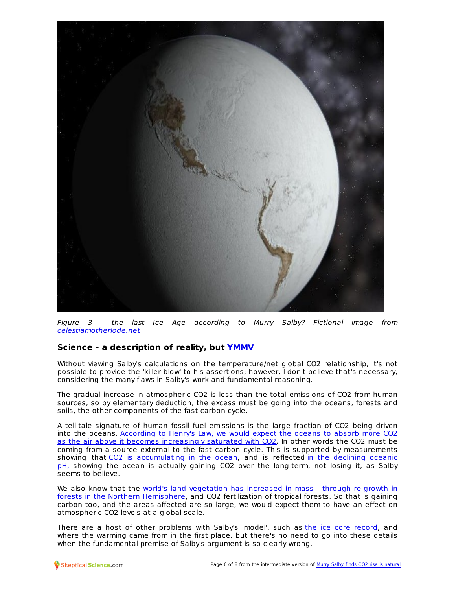

Figure 3 - the last Ice Age according to Murry Salby? Fictional image from [celestiamotherlode.net](http://www.celestiamotherlode.net/catalog/show_creator_details.php?creator_id=146)

# **Science - a description of reality, but [YMMV](http://www.urbandictionary.com/define.php?term=YMMV)**

Without viewing Salby's calculations on the temperature/net global CO2 relationship, it's not possible to provide the 'killer blow' to his assertions; however, I don't believe that's necessary, considering the many flaws in Salby's work and fundamental reasoning.

The gradual increase in atmospheric CO2 is less than the total emissions of CO2 from human sources, so by elementary deduction, the excess must be going into the oceans, forests and soils, the other components of the fast carbon cycle.

A tell-tale signature of human fossil fuel emissions is the large fraction of CO2 being driven into the oceans. According to Henry's Law, we would expect the oceans to absorb more CO2 as the air above it becomes [increasingly](http://www.skepticalscience.com/Mackie_OA_not_OK_post_9.html) saturated with CO2. In other words the CO2 must be coming from a source external to the fast carbon cycle. This is supported by measurements showing that CO2 is [accumulating](http://eprints.ifm-geomar.de/2294/1/683_Takahashi_2009_ClimatologicalMeanAndDecadalChange_Artzeit_pubid12055.pdf) in the ocean, and is reflected in the declining oceanic pH, showing the ocean is actually gaining CO2 over the long-term, not losing it, as Salby seems to believe.

We also know that the world's land vegetation has increased in mass - through re-growth in forests in the Northern [Hemisphere,](http://www.biogeosciences.net/7/2351/2010/bg-7-2351-2010.pdf) and CO2 fertilization of tropical forests. So that is gaining carbon too, and the areas affected are so large, we would expect them to have an effect on atmospheric CO2 levels at a global scale.

There are a host of other problems with Salby's 'model', such as the ice core [record](http://www.ncdc.noaa.gov/paleo/taylor/indermuehle99nat.pdf), and where the warming came from in the first place, but there's no need to go into these details when the [fundame](http://skepticalscience.com)ntal premise of Salby's argument is so clearly wrong.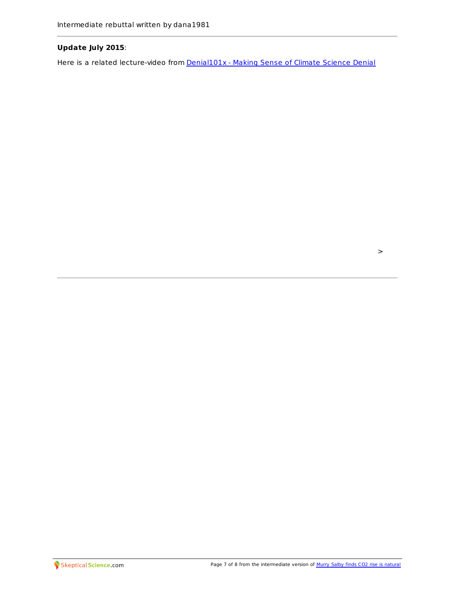## **Update July 2015**:

Here is a related lecture-video from **[Denial101x](https://www.edx.org/course/making-sense-climate-science-denial-uqx-denial101x-0)** - Making Sense of Climate Science Denial

 $\,>$